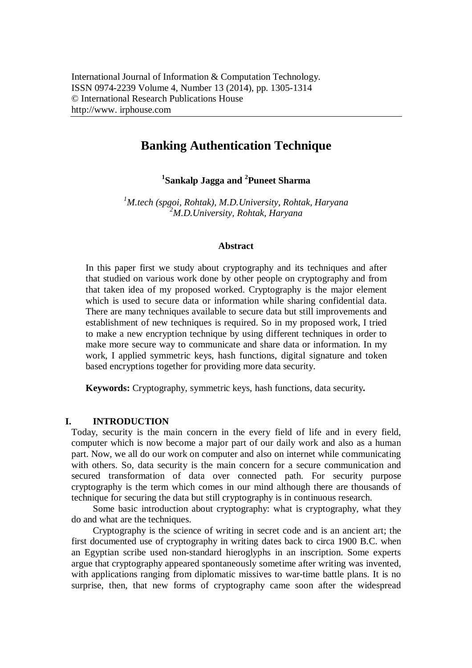# **Banking Authentication Technique**

**1 Sankalp Jagga and <sup>2</sup> Puneet Sharma**

*<sup>1</sup>M.tech (spgoi, Rohtak), M.D.University, Rohtak, Haryana <sup>2</sup>M.D.University, Rohtak, Haryana*

#### **Abstract**

In this paper first we study about cryptography and its techniques and after that studied on various work done by other people on cryptography and from that taken idea of my proposed worked. Cryptography is the major element which is used to secure data or information while sharing confidential data. There are many techniques available to secure data but still improvements and establishment of new techniques is required. So in my proposed work, I tried to make a new encryption technique by using different techniques in order to make more secure way to communicate and share data or information. In my work, I applied symmetric keys, hash functions, digital signature and token based encryptions together for providing more data security.

**Keywords:** Cryptography, symmetric keys, hash functions, data security**.**

## **I. INTRODUCTION**

Today, security is the main concern in the every field of life and in every field, computer which is now become a major part of our daily work and also as a human part. Now, we all do our work on computer and also on internet while communicating with others. So, data security is the main concern for a secure communication and secured transformation of data over connected path. For security purpose cryptography is the term which comes in our mind although there are thousands of technique for securing the data but still cryptography is in continuous research.

Some basic introduction about cryptography: what is cryptography, what they do and what are the techniques.

Cryptography is the science of writing in secret code and is an ancient art; the first documented use of cryptography in writing dates back to circa 1900 B.C. when an Egyptian scribe used non-standard hieroglyphs in an inscription. Some experts argue that cryptography appeared spontaneously sometime after writing was invented, with applications ranging from diplomatic missives to war-time battle plans. It is no surprise, then, that new forms of cryptography came soon after the widespread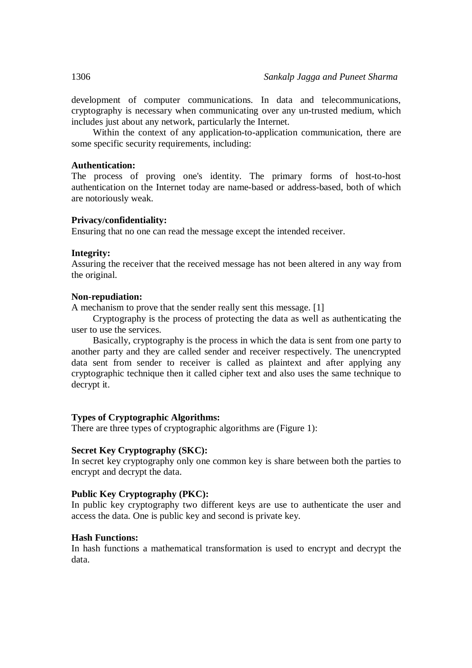development of computer communications. In data and telecommunications, cryptography is necessary when communicating over any un-trusted medium, which includes just about any network, particularly the Internet.

Within the context of any application-to-application communication, there are some specific security requirements, including:

#### **Authentication:**

The process of proving one's identity. The primary forms of host-to-host authentication on the Internet today are name-based or address-based, both of which are notoriously weak.

#### **Privacy/confidentiality:**

Ensuring that no one can read the message except the intended receiver.

#### **Integrity:**

Assuring the receiver that the received message has not been altered in any way from the original.

#### **Non-repudiation:**

A mechanism to prove that the sender really sent this message. [1]

Cryptography is the process of protecting the data as well as authenticating the user to use the services.

Basically, cryptography is the process in which the data is sent from one party to another party and they are called sender and receiver respectively. The unencrypted data sent from sender to receiver is called as plaintext and after applying any cryptographic technique then it called cipher text and also uses the same technique to decrypt it.

#### **Types of Cryptographic Algorithms:**

There are three types of cryptographic algorithms are (Figure 1):

#### **Secret Key Cryptography (SKC):**

In secret key cryptography only one common key is share between both the parties to encrypt and decrypt the data.

## **Public Key Cryptography (PKC):**

In public key cryptography two different keys are use to authenticate the user and access the data. One is public key and second is private key.

#### **Hash Functions:**

In hash functions a mathematical transformation is used to encrypt and decrypt the data.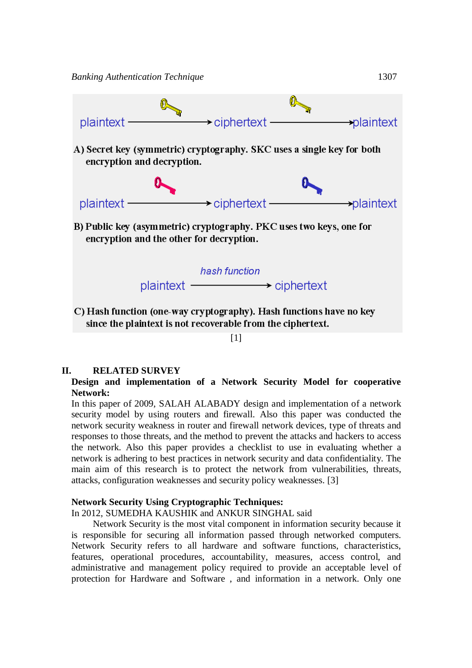

[1]

#### **II. RELATED SURVEY**

### **Design and implementation of a Network Security Model for cooperative Network:**

In this paper of 2009, SALAH ALABADY design and implementation of a network security model by using routers and firewall. Also this paper was conducted the network security weakness in router and firewall network devices, type of threats and responses to those threats, and the method to prevent the attacks and hackers to access the network. Also this paper provides a checklist to use in evaluating whether a network is adhering to best practices in network security and data confidentiality. The main aim of this research is to protect the network from vulnerabilities, threats, attacks, configuration weaknesses and security policy weaknesses. [3]

### **Network Security Using Cryptographic Techniques:**

In 2012, SUMEDHA KAUSHIK and ANKUR SINGHAL said

Network Security is the most vital component in information security because it is responsible for securing all information passed through networked computers. Network Security refers to all hardware and software functions, characteristics, features, operational procedures, accountability, measures, access control, and administrative and management policy required to provide an acceptable level of protection for Hardware and Software , and information in a network. Only one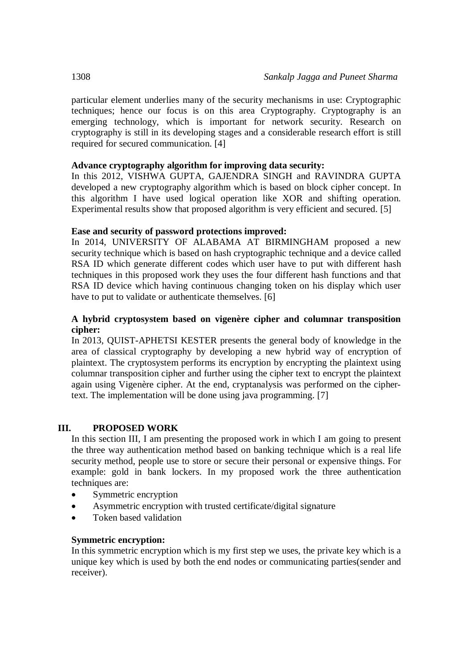particular element underlies many of the security mechanisms in use: Cryptographic techniques; hence our focus is on this area Cryptography. Cryptography is an emerging technology, which is important for network security. Research on cryptography is still in its developing stages and a considerable research effort is still required for secured communication. [4]

## **Advance cryptography algorithm for improving data security:**

In this 2012, VISHWA GUPTA, GAJENDRA SINGH and RAVINDRA GUPTA developed a new cryptography algorithm which is based on block cipher concept. In this algorithm I have used logical operation like XOR and shifting operation. Experimental results show that proposed algorithm is very efficient and secured. [5]

## **Ease and security of password protections improved:**

In 2014, UNIVERSITY OF ALABAMA AT BIRMINGHAM proposed a new security technique which is based on hash cryptographic technique and a device called RSA ID which generate different codes which user have to put with different hash techniques in this proposed work they uses the four different hash functions and that RSA ID device which having continuous changing token on his display which user have to put to validate or authenticate themselves. [6]

## **A hybrid cryptosystem based on vigenère cipher and columnar transposition cipher:**

In 2013, QUIST-APHETSI KESTER presents the general body of knowledge in the area of classical cryptography by developing a new hybrid way of encryption of plaintext. The cryptosystem performs its encryption by encrypting the plaintext using columnar transposition cipher and further using the cipher text to encrypt the plaintext again using Vigenère cipher. At the end, cryptanalysis was performed on the ciphertext. The implementation will be done using java programming. [7]

## **III. PROPOSED WORK**

In this section III, I am presenting the proposed work in which I am going to present the three way authentication method based on banking technique which is a real life security method, people use to store or secure their personal or expensive things. For example: gold in bank lockers. In my proposed work the three authentication techniques are:

- Symmetric encryption
- Asymmetric encryption with trusted certificate/digital signature
- Token based validation

## **Symmetric encryption:**

In this symmetric encryption which is my first step we uses, the private key which is a unique key which is used by both the end nodes or communicating parties(sender and receiver).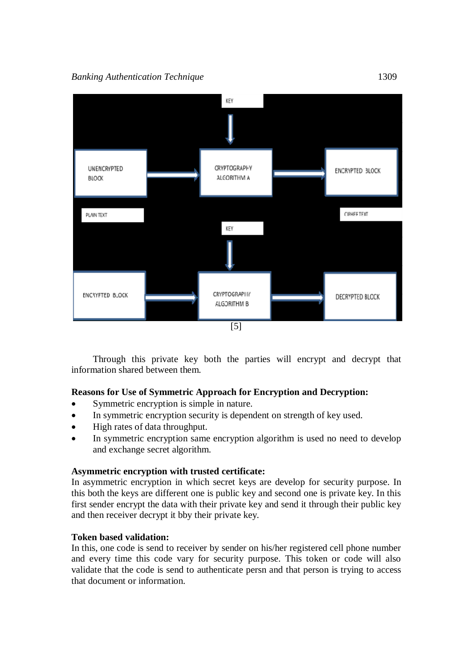

Through this private key both the parties will encrypt and decrypt that information shared between them.

## **Reasons for Use of Symmetric Approach for Encryption and Decryption:**

- Symmetric encryption is simple in nature.
- In symmetric encryption security is dependent on strength of key used.
- High rates of data throughput.
- In symmetric encryption same encryption algorithm is used no need to develop and exchange secret algorithm.

## **Asymmetric encryption with trusted certificate:**

In asymmetric encryption in which secret keys are develop for security purpose. In this both the keys are different one is public key and second one is private key. In this first sender encrypt the data with their private key and send it through their public key and then receiver decrypt it bby their private key.

## **Token based validation:**

In this, one code is send to receiver by sender on his/her registered cell phone number and every time this code vary for security purpose. This token or code will also validate that the code is send to authenticate persn and that person is trying to access that document or information.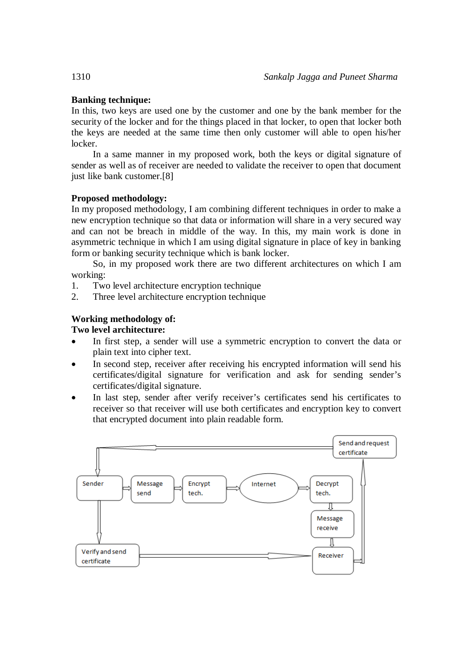## **Banking technique:**

In this, two keys are used one by the customer and one by the bank member for the security of the locker and for the things placed in that locker, to open that locker both the keys are needed at the same time then only customer will able to open his/her locker.

In a same manner in my proposed work, both the keys or digital signature of sender as well as of receiver are needed to validate the receiver to open that document just like bank customer.[8]

## **Proposed methodology:**

In my proposed methodology, I am combining different techniques in order to make a new encryption technique so that data or information will share in a very secured way and can not be breach in middle of the way. In this, my main work is done in asymmetric technique in which I am using digital signature in place of key in banking form or banking security technique which is bank locker.

So, in my proposed work there are two different architectures on which I am working:

- 1. Two level architecture encryption technique
- 2. Three level architecture encryption technique

## **Working methodology of:**

## **Two level architecture:**

- In first step, a sender will use a symmetric encryption to convert the data or plain text into cipher text.
- In second step, receiver after receiving his encrypted information will send his certificates/digital signature for verification and ask for sending sender's certificates/digital signature.
- In last step, sender after verify receiver's certificates send his certificates to receiver so that receiver will use both certificates and encryption key to convert that encrypted document into plain readable form.

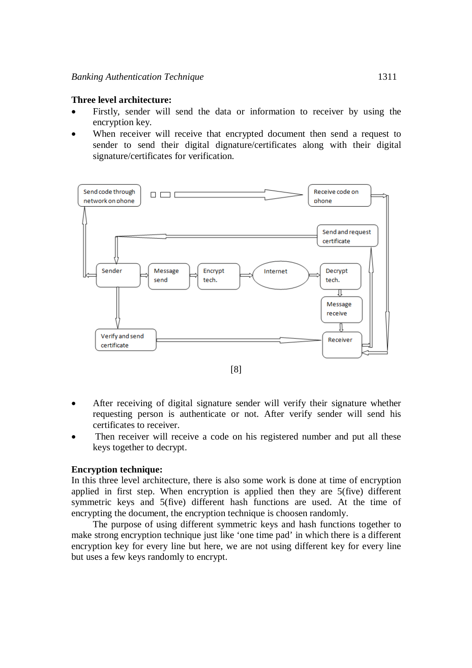#### **Three level architecture:**

- Firstly, sender will send the data or information to receiver by using the encryption key.
- When receiver will receive that encrypted document then send a request to sender to send their digital dignature/certificates along with their digital signature/certificates for verification.



- After receiving of digital signature sender will verify their signature whether requesting person is authenticate or not. After verify sender will send his certificates to receiver.
- Then receiver will receive a code on his registered number and put all these keys together to decrypt.

#### **Encryption technique:**

In this three level architecture, there is also some work is done at time of encryption applied in first step. When encryption is applied then they are 5(five) different symmetric keys and 5(five) different hash functions are used. At the time of encrypting the document, the encryption technique is choosen randomly.

The purpose of using different symmetric keys and hash functions together to make strong encryption technique just like 'one time pad' in which there is a different encryption key for every line but here, we are not using different key for every line but uses a few keys randomly to encrypt.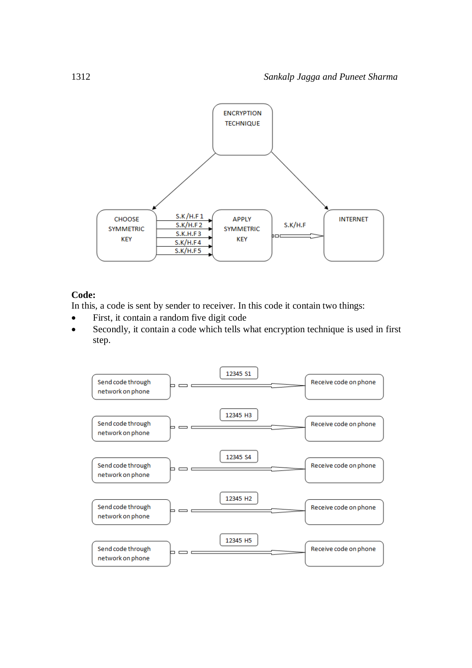

## **Code:**

In this, a code is sent by sender to receiver. In this code it contain two things:

- First, it contain a random five digit code
- Secondly, it contain a code which tells what encryption technique is used in first step.

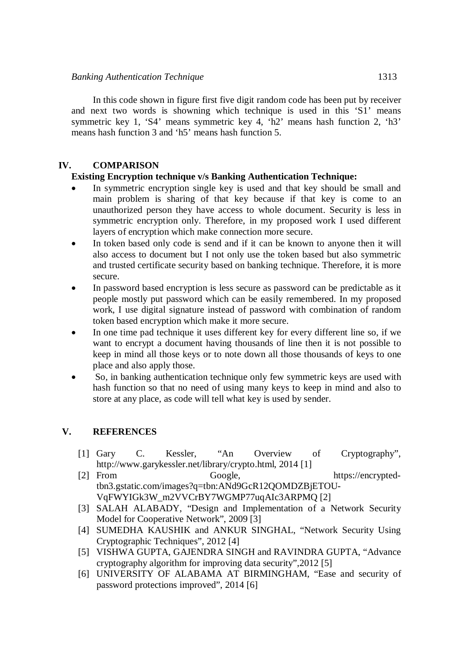In this code shown in figure first five digit random code has been put by receiver and next two words is showning which technique is used in this 'S1' means symmetric key 1, 'S4' means symmetric key 4, 'h2' means hash function 2, 'h3' means hash function 3 and 'h5' means hash function 5.

## **IV. COMPARISON**

## **Existing Encryption technique v/s Banking Authentication Technique:**

- In symmetric encryption single key is used and that key should be small and main problem is sharing of that key because if that key is come to an unauthorized person they have access to whole document. Security is less in symmetric encryption only. Therefore, in my proposed work I used different layers of encryption which make connection more secure.
- In token based only code is send and if it can be known to anyone then it will also access to document but I not only use the token based but also symmetric and trusted certificate security based on banking technique. Therefore, it is more secure.
- In password based encryption is less secure as password can be predictable as it people mostly put password which can be easily remembered. In my proposed work, I use digital signature instead of password with combination of random token based encryption which make it more secure.
- In one time pad technique it uses different key for every different line so, if we want to encrypt a document having thousands of line then it is not possible to keep in mind all those keys or to note down all those thousands of keys to one place and also apply those.
- So, in banking authentication technique only few symmetric keys are used with hash function so that no need of using many keys to keep in mind and also to store at any place, as code will tell what key is used by sender.

## **V. REFERENCES**

- [1] Gary C. Kessler, "An Overview of Cryptography", http://www.garykessler.net/library/crypto.html, 2014 [1]
- [2] From Google, https://encryptedtbn3.gstatic.com/images?q=tbn:ANd9GcR12QOMDZBjETOU-VqFWYIGk3W\_m2VVCrBY7WGMP77uqAIc3ARPMQ [2]
- [3] SALAH ALABADY, "Design and Implementation of a Network Security Model for Cooperative Network", 2009 [3]
- [4] SUMEDHA KAUSHIK and ANKUR SINGHAL, "Network Security Using Cryptographic Techniques", 2012 [4]
- [5] VISHWA GUPTA, GAJENDRA SINGH and RAVINDRA GUPTA, "Advance cryptography algorithm for improving data security",2012 [5]
- [6] UNIVERSITY OF ALABAMA AT BIRMINGHAM, "Ease and security of password protections improved", 2014 [6]